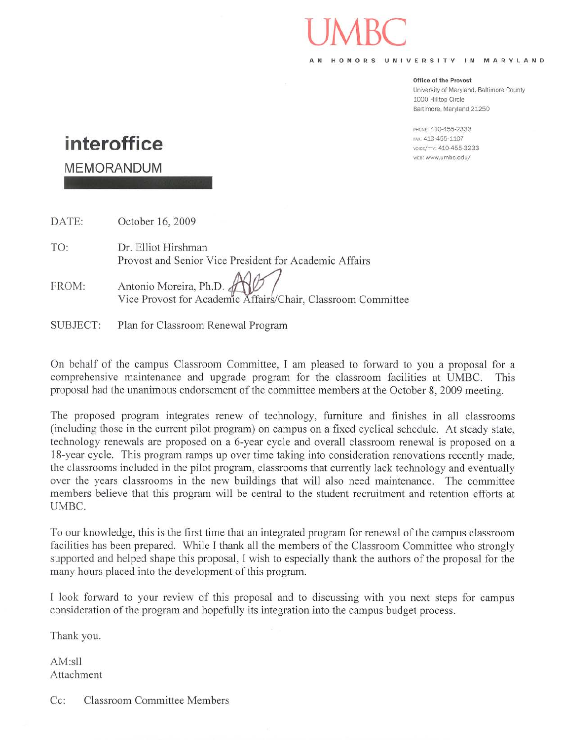#### HONORS UNIVERSITY IN MARYLAND

#### Office of the Provost

University of Maryland, Baltimore County 1000 Hilltop Circle Baltimore, Maryland 21250

PHONE: 410-455-2333 FAX: 410-455-1107 VOICE/TTY: 410-455-3233 wEB: www.umbc.edu/

# interoffice

**MEMORANDUM** 

DATE: October 16, 2009

TO: Dr. Elliot Hirshman Provost and Senior Vice President for Academic Affairs

Antonio Moreira, Ph.D. & FROM: Vice Provost for Academic Affairs/Chair, Classroom Committee

**SUBJECT:** Plan for Classroom Renewal Program

On behalf of the campus Classroom Committee, I am pleased to forward to you a proposal for a comprehensive maintenance and upgrade program for the classroom facilities at UMBC. This proposal had the unanimous endorsement of the committee members at the October 8, 2009 meeting.

The proposed program integrates renew of technology, furniture and finishes in all classrooms (including those in the current pilot program) on campus on a fixed cyclical schedule. At steady state, technology renewals are proposed on a 6-year cycle and overall classroom renewal is proposed on a 18-year cycle. This program ramps up over time taking into consideration renovations recently made, the classrooms included in the pilot program, classrooms that currently lack technology and eventually over the years classrooms in the new buildings that will also need maintenance. The committee members believe that this program will be central to the student recruitment and retention efforts at UMBC.

To our knowledge, this is the first time that an integrated program for renewal of the campus classroom facilities has been prepared. While I thank all the members of the Classroom Committee who strongly supported and helped shape this proposal, I wish to especially thank the authors of the proposal for the many hours placed into the development of this program.

I look forward to your review of this proposal and to discussing with you next steps for campus consideration of the program and hopefully its integration into the campus budget process.

Thank you.

AM:sll Attachment

Cc: **Classroom Committee Members**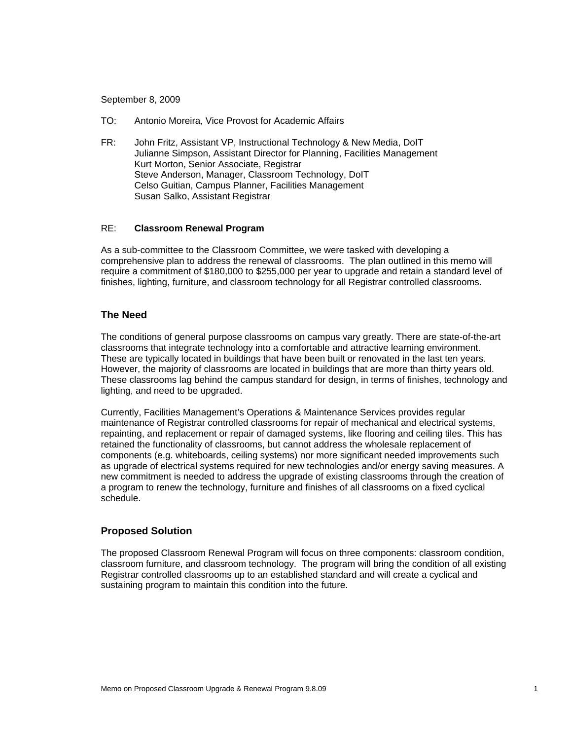September 8, 2009

- TO: Antonio Moreira, Vice Provost for Academic Affairs
- FR: John Fritz, Assistant VP, Instructional Technology & New Media, DoIT Julianne Simpson, Assistant Director for Planning, Facilities Management Kurt Morton, Senior Associate, Registrar Steve Anderson, Manager, Classroom Technology, DoIT Celso Guitian, Campus Planner, Facilities Management Susan Salko, Assistant Registrar

#### RE: **Classroom Renewal Program**

As a sub-committee to the Classroom Committee, we were tasked with developing a comprehensive plan to address the renewal of classrooms. The plan outlined in this memo will require a commitment of \$180,000 to \$255,000 per year to upgrade and retain a standard level of finishes, lighting, furniture, and classroom technology for all Registrar controlled classrooms.

#### **The Need**

The conditions of general purpose classrooms on campus vary greatly. There are state-of-the-art classrooms that integrate technology into a comfortable and attractive learning environment. These are typically located in buildings that have been built or renovated in the last ten years. However, the majority of classrooms are located in buildings that are more than thirty years old. These classrooms lag behind the campus standard for design, in terms of finishes, technology and lighting, and need to be upgraded.

Currently, Facilities Management's Operations & Maintenance Services provides regular maintenance of Registrar controlled classrooms for repair of mechanical and electrical systems, repainting, and replacement or repair of damaged systems, like flooring and ceiling tiles. This has retained the functionality of classrooms, but cannot address the wholesale replacement of components (e.g. whiteboards, ceiling systems) nor more significant needed improvements such as upgrade of electrical systems required for new technologies and/or energy saving measures. A new commitment is needed to address the upgrade of existing classrooms through the creation of a program to renew the technology, furniture and finishes of all classrooms on a fixed cyclical schedule.

#### **Proposed Solution**

The proposed Classroom Renewal Program will focus on three components: classroom condition, classroom furniture, and classroom technology. The program will bring the condition of all existing Registrar controlled classrooms up to an established standard and will create a cyclical and sustaining program to maintain this condition into the future.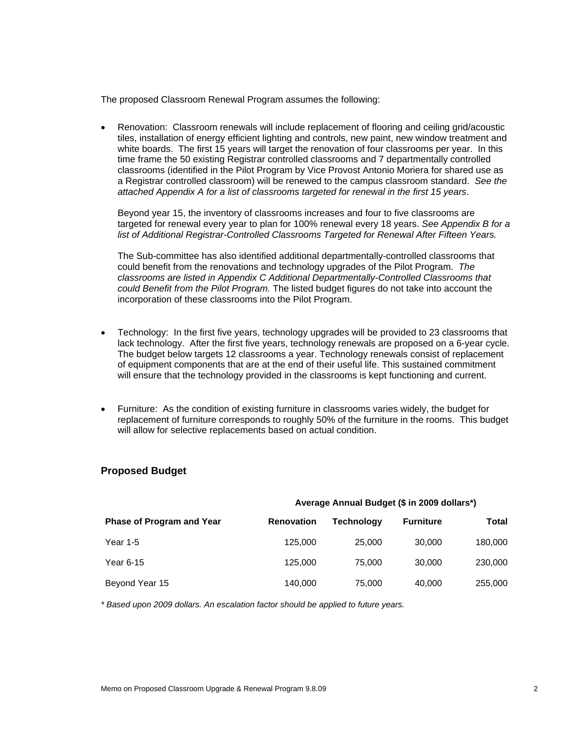The proposed Classroom Renewal Program assumes the following:

• Renovation: Classroom renewals will include replacement of flooring and ceiling grid/acoustic tiles, installation of energy efficient lighting and controls, new paint, new window treatment and white boards. The first 15 years will target the renovation of four classrooms per year. In this time frame the 50 existing Registrar controlled classrooms and 7 departmentally controlled classrooms (identified in the Pilot Program by Vice Provost Antonio Moriera for shared use as a Registrar controlled classroom) will be renewed to the campus classroom standard. *See the attached Appendix A for a list of classrooms targeted for renewal in the first 15 years*.

Beyond year 15, the inventory of classrooms increases and four to five classrooms are targeted for renewal every year to plan for 100% renewal every 18 years. *See Appendix B for a list of Additional Registrar-Controlled Classrooms Targeted for Renewal After Fifteen Years.*

The Sub-committee has also identified additional departmentally-controlled classrooms that could benefit from the renovations and technology upgrades of the Pilot Program. *The classrooms are listed in Appendix C Additional Departmentally-Controlled Classrooms that could Benefit from the Pilot Program.* The listed budget figures do not take into account the incorporation of these classrooms into the Pilot Program.

- Technology: In the first five years, technology upgrades will be provided to 23 classrooms that lack technology. After the first five years, technology renewals are proposed on a 6-year cycle. The budget below targets 12 classrooms a year. Technology renewals consist of replacement of equipment components that are at the end of their useful life. This sustained commitment will ensure that the technology provided in the classrooms is kept functioning and current.
- Furniture: As the condition of existing furniture in classrooms varies widely, the budget for replacement of furniture corresponds to roughly 50% of the furniture in the rooms. This budget will allow for selective replacements based on actual condition.

#### **Proposed Budget**

|                                  | Average Annual Budget (\$ in 2009 dollars*) |            |                  |         |  |  |  |
|----------------------------------|---------------------------------------------|------------|------------------|---------|--|--|--|
| <b>Phase of Program and Year</b> | <b>Renovation</b>                           | Technology | <b>Furniture</b> | Total   |  |  |  |
| Year 1-5                         | 125,000                                     | 25,000     | 30,000           | 180,000 |  |  |  |
| Year 6-15                        | 125,000                                     | 75,000     | 30,000           | 230,000 |  |  |  |
| Beyond Year 15                   | 140,000                                     | 75,000     | 40,000           | 255,000 |  |  |  |

*\* Based upon 2009 dollars. An escalation factor should be applied to future years.*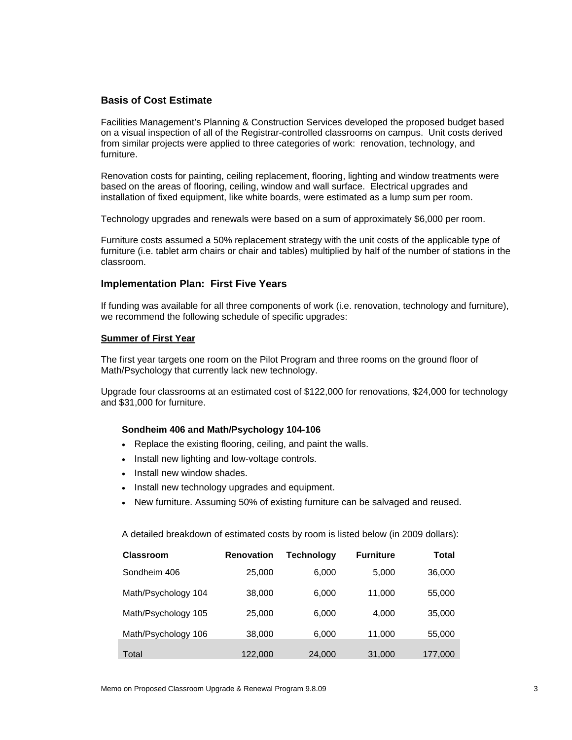#### **Basis of Cost Estimate**

Facilities Management's Planning & Construction Services developed the proposed budget based on a visual inspection of all of the Registrar-controlled classrooms on campus. Unit costs derived from similar projects were applied to three categories of work: renovation, technology, and furniture.

Renovation costs for painting, ceiling replacement, flooring, lighting and window treatments were based on the areas of flooring, ceiling, window and wall surface. Electrical upgrades and installation of fixed equipment, like white boards, were estimated as a lump sum per room.

Technology upgrades and renewals were based on a sum of approximately \$6,000 per room.

Furniture costs assumed a 50% replacement strategy with the unit costs of the applicable type of furniture (i.e. tablet arm chairs or chair and tables) multiplied by half of the number of stations in the classroom.

#### **Implementation Plan: First Five Years**

If funding was available for all three components of work (i.e. renovation, technology and furniture), we recommend the following schedule of specific upgrades:

#### **Summer of First Year**

The first year targets one room on the Pilot Program and three rooms on the ground floor of Math/Psychology that currently lack new technology.

Upgrade four classrooms at an estimated cost of \$122,000 for renovations, \$24,000 for technology and \$31,000 for furniture.

#### **Sondheim 406 and Math/Psychology 104-106**

- Replace the existing flooring, ceiling, and paint the walls.
- Install new lighting and low-voltage controls.
- Install new window shades.
- Install new technology upgrades and equipment.
- New furniture. Assuming 50% of existing furniture can be salvaged and reused.

A detailed breakdown of estimated costs by room is listed below (in 2009 dollars):

| <b>Classroom</b>    | <b>Renovation</b> | Technology | <b>Furniture</b> | Total   |
|---------------------|-------------------|------------|------------------|---------|
| Sondheim 406        | 25,000            | 6,000      | 5,000            | 36,000  |
| Math/Psychology 104 | 38,000            | 6,000      | 11,000           | 55,000  |
| Math/Psychology 105 | 25,000            | 6,000      | 4,000            | 35,000  |
| Math/Psychology 106 | 38,000            | 6,000      | 11,000           | 55,000  |
| Total               | 122,000           | 24,000     | 31,000           | 177,000 |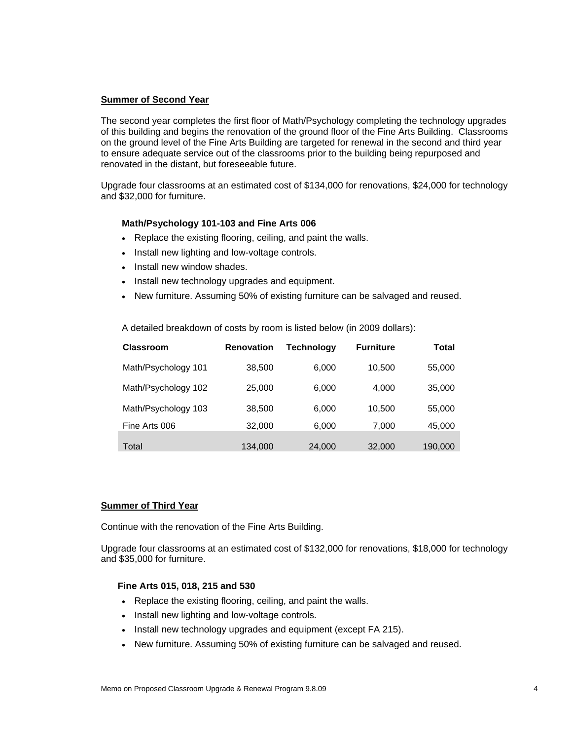#### **Summer of Second Year**

The second year completes the first floor of Math/Psychology completing the technology upgrades of this building and begins the renovation of the ground floor of the Fine Arts Building. Classrooms on the ground level of the Fine Arts Building are targeted for renewal in the second and third year to ensure adequate service out of the classrooms prior to the building being repurposed and renovated in the distant, but foreseeable future.

Upgrade four classrooms at an estimated cost of \$134,000 for renovations, \$24,000 for technology and \$32,000 for furniture.

#### **Math/Psychology 101-103 and Fine Arts 006**

- Replace the existing flooring, ceiling, and paint the walls.
- Install new lighting and low-voltage controls.
- Install new window shades.
- Install new technology upgrades and equipment.
- New furniture. Assuming 50% of existing furniture can be salvaged and reused.

A detailed breakdown of costs by room is listed below (in 2009 dollars):

| <b>Classroom</b>    | <b>Renovation</b> | Technoloav | <b>Furniture</b> | Total   |
|---------------------|-------------------|------------|------------------|---------|
| Math/Psychology 101 | 38,500            | 6,000      | 10.500           | 55,000  |
| Math/Psychology 102 | 25,000            | 6,000      | 4,000            | 35,000  |
| Math/Psychology 103 | 38.500            | 6.000      | 10.500           | 55,000  |
| Fine Arts 006       | 32,000            | 6,000      | 7,000            | 45,000  |
| Total               | 134,000           | 24,000     | 32,000           | 190,000 |

#### **Summer of Third Year**

Continue with the renovation of the Fine Arts Building.

Upgrade four classrooms at an estimated cost of \$132,000 for renovations, \$18,000 for technology and \$35,000 for furniture.

#### **Fine Arts 015, 018, 215 and 530**

- Replace the existing flooring, ceiling, and paint the walls.
- Install new lighting and low-voltage controls.
- Install new technology upgrades and equipment (except FA 215).
- New furniture. Assuming 50% of existing furniture can be salvaged and reused.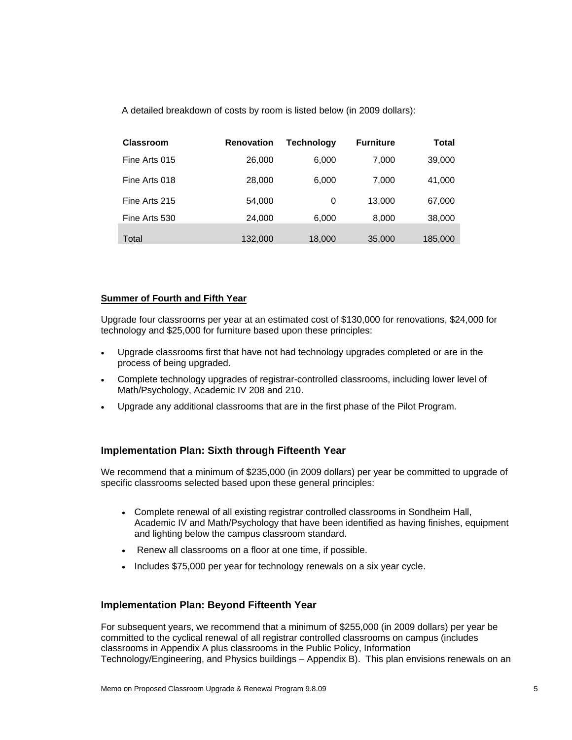A detailed breakdown of costs by room is listed below (in 2009 dollars):

| <b>Classroom</b> | <b>Renovation</b> | Technology | <b>Furniture</b> | Total   |
|------------------|-------------------|------------|------------------|---------|
| Fine Arts 015    | 26,000            | 6,000      | 7,000            | 39,000  |
| Fine Arts 018    | 28,000            | 6,000      | 7,000            | 41,000  |
| Fine Arts 215    | 54,000            | 0          | 13.000           | 67,000  |
| Fine Arts 530    | 24,000            | 6,000      | 8,000            | 38,000  |
| Total            | 132,000           | 18,000     | 35,000           | 185,000 |

#### **Summer of Fourth and Fifth Year**

Upgrade four classrooms per year at an estimated cost of \$130,000 for renovations, \$24,000 for technology and \$25,000 for furniture based upon these principles:

- Upgrade classrooms first that have not had technology upgrades completed or are in the process of being upgraded.
- Complete technology upgrades of registrar-controlled classrooms, including lower level of Math/Psychology, Academic IV 208 and 210.
- Upgrade any additional classrooms that are in the first phase of the Pilot Program.

### **Implementation Plan: Sixth through Fifteenth Year**

We recommend that a minimum of \$235,000 (in 2009 dollars) per year be committed to upgrade of specific classrooms selected based upon these general principles:

- Complete renewal of all existing registrar controlled classrooms in Sondheim Hall, Academic IV and Math/Psychology that have been identified as having finishes, equipment and lighting below the campus classroom standard.
- Renew all classrooms on a floor at one time, if possible.
- Includes \$75,000 per year for technology renewals on a six year cycle.

### **Implementation Plan: Beyond Fifteenth Year**

For subsequent years, we recommend that a minimum of \$255,000 (in 2009 dollars) per year be committed to the cyclical renewal of all registrar controlled classrooms on campus (includes classrooms in Appendix A plus classrooms in the Public Policy, Information Technology/Engineering, and Physics buildings – Appendix B). This plan envisions renewals on an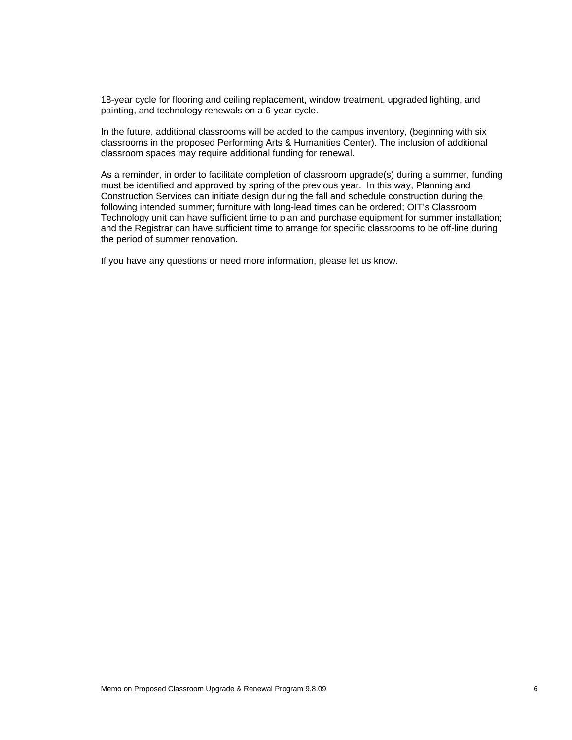18-year cycle for flooring and ceiling replacement, window treatment, upgraded lighting, and painting, and technology renewals on a 6-year cycle.

In the future, additional classrooms will be added to the campus inventory, (beginning with six classrooms in the proposed Performing Arts & Humanities Center). The inclusion of additional classroom spaces may require additional funding for renewal.

As a reminder, in order to facilitate completion of classroom upgrade(s) during a summer, funding must be identified and approved by spring of the previous year. In this way, Planning and Construction Services can initiate design during the fall and schedule construction during the following intended summer; furniture with long-lead times can be ordered; OIT's Classroom Technology unit can have sufficient time to plan and purchase equipment for summer installation; and the Registrar can have sufficient time to arrange for specific classrooms to be off-line during the period of summer renovation.

If you have any questions or need more information, please let us know.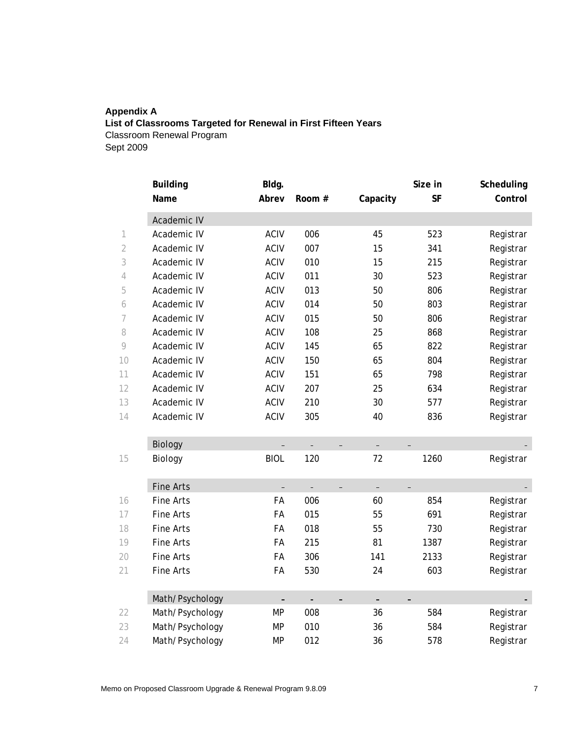# **Appendix A List of Classrooms Targeted for Renewal in First Fifteen Years**  Classroom Renewal Program

Sept 2009

|                | <b>Building</b>  | Bldg.                    |                          |                                      | Size in                  | Scheduling |
|----------------|------------------|--------------------------|--------------------------|--------------------------------------|--------------------------|------------|
|                | Name             | Abrev                    | Room #                   | Capacity                             | <b>SF</b>                | Control    |
|                | Academic IV      |                          |                          |                                      |                          |            |
| 1              | Academic IV      | <b>ACIV</b>              | 006                      | 45                                   | 523                      | Registrar  |
| $\overline{2}$ | Academic IV      | <b>ACIV</b>              | 007                      | 15                                   | 341                      | Registrar  |
| 3              | Academic IV      | <b>ACIV</b>              | 010                      | 15                                   | 215                      | Registrar  |
| 4              | Academic IV      | <b>ACIV</b>              | 011                      | 30                                   | 523                      | Registrar  |
| 5              | Academic IV      | <b>ACIV</b>              | 013                      | 50                                   | 806                      | Registrar  |
| 6              | Academic IV      | ACIV                     | 014                      | 50                                   | 803                      | Registrar  |
| 7              | Academic IV      | <b>ACIV</b>              | 015                      | 50                                   | 806                      | Registrar  |
| 8              | Academic IV      | <b>ACIV</b>              | 108                      | 25                                   | 868                      | Registrar  |
| $\circ$        | Academic IV      | <b>ACIV</b>              | 145                      | 65                                   | 822                      | Registrar  |
| 10             | Academic IV      | <b>ACIV</b>              | 150                      | 65                                   | 804                      | Registrar  |
| 11             | Academic IV      | <b>ACIV</b>              | 151                      | 65                                   | 798                      | Registrar  |
| 12             | Academic IV      | <b>ACIV</b>              | 207                      | 25                                   | 634                      | Registrar  |
| 13             | Academic IV      | <b>ACIV</b>              | 210                      | 30                                   | 577                      | Registrar  |
| 14             | Academic IV      | <b>ACIV</b>              | 305                      | 40                                   | 836                      | Registrar  |
|                | <b>Biology</b>   |                          |                          |                                      |                          |            |
| 15             | Biology          | <b>BIOL</b>              | 120                      | 72                                   | 1260                     | Registrar  |
|                | <b>Fine Arts</b> | $\overline{\phantom{0}}$ | $\overline{\phantom{0}}$ | $\equiv$<br>$\overline{\phantom{0}}$ | $\overline{\phantom{0}}$ |            |
| 16             | Fine Arts        | FA                       | 006                      | 60                                   | 854                      | Registrar  |
| 17             | Fine Arts        | FA                       | 015                      | 55                                   | 691                      | Registrar  |
| 18             | Fine Arts        | FA                       | 018                      | 55                                   | 730                      | Registrar  |
| 19             | Fine Arts        | FA                       | 215                      | 81                                   | 1387                     | Registrar  |
| 20             | Fine Arts        | FA                       | 306                      | 141                                  | 2133                     | Registrar  |
| 21             | Fine Arts        | FA                       | 530                      | 24                                   | 603                      | Registrar  |
|                | Math/Psychology  |                          |                          | $\overline{a}$                       |                          |            |
| 22             | Math/Psychology  | <b>MP</b>                | 008                      | 36                                   | 584                      | Registrar  |
| 23             | Math/Psychology  | <b>MP</b>                | 010                      | 36                                   | 584                      | Registrar  |
| 24             | Math/Psychology  | <b>MP</b>                | 012                      | 36                                   | 578                      | Registrar  |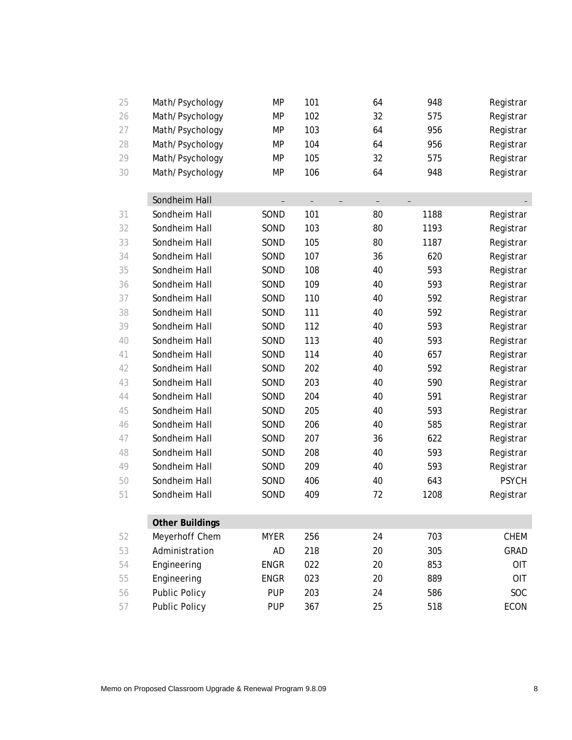| 25 | Math/Psychology        | MP          | 101                      | 64                       | 948  | Registrar    |
|----|------------------------|-------------|--------------------------|--------------------------|------|--------------|
| 26 | Math/Psychology        | <b>MP</b>   | 102                      | 32                       | 575  | Registrar    |
| 27 | Math/Psychology        | <b>MP</b>   | 103                      | 64                       | 956  | Registrar    |
| 28 | Math/Psychology        | <b>MP</b>   | 104                      | 64                       | 956  | Registrar    |
| 29 | Math/Psychology        | MP          | 105                      | 32                       | 575  | Registrar    |
| 30 | Math/Psychology        | MP          | 106                      | 64                       | 948  | Registrar    |
|    | Sondheim Hall          |             | $\overline{\phantom{0}}$ | $\overline{\phantom{0}}$ |      |              |
| 31 | Sondheim Hall          | SOND        | 101                      | 80                       | 1188 | Registrar    |
| 32 | Sondheim Hall          | SOND        | 103                      | 80                       | 1193 | Registrar    |
| 33 | Sondheim Hall          | SOND        | 105                      | 80                       | 1187 | Registrar    |
| 34 | Sondheim Hall          | SOND        | 107                      | 36                       | 620  | Registrar    |
| 35 | Sondheim Hall          | SOND        | 108                      | 40                       | 593  | Registrar    |
| 36 | Sondheim Hall          | SOND        | 109                      | 40                       | 593  | Registrar    |
| 37 | Sondheim Hall          | SOND        | 110                      | 40                       | 592  | Registrar    |
| 38 | Sondheim Hall          | SOND        | 111                      | 40                       | 592  | Registrar    |
| 39 | Sondheim Hall          | SOND        | 112                      | 40                       | 593  | Registrar    |
| 40 | Sondheim Hall          | SOND        | 113                      | 40                       | 593  | Registrar    |
| 41 | Sondheim Hall          | SOND        | 114                      | 40                       | 657  | Registrar    |
| 42 | Sondheim Hall          | SOND        | 202                      | 40                       | 592  | Registrar    |
| 43 | Sondheim Hall          | SOND        | 203                      | 40                       | 590  | Registrar    |
| 44 | Sondheim Hall          | SOND        | 204                      | 40                       | 591  | Registrar    |
| 45 | Sondheim Hall          | SOND        | 205                      | 40                       | 593  | Registrar    |
| 46 | Sondheim Hall          | SOND        | 206                      | 40                       | 585  | Registrar    |
| 47 | Sondheim Hall          | SOND        | 207                      | 36                       | 622  | Registrar    |
| 48 | Sondheim Hall          | SOND        | 208                      | 40                       | 593  | Registrar    |
| 49 | Sondheim Hall          | SOND        | 209                      | 40                       | 593  | Registrar    |
| 50 | Sondheim Hall          | SOND        | 406                      | 40                       | 643  | <b>PSYCH</b> |
| 51 | Sondheim Hall          | SOND        | 409                      | 72                       | 1208 | Registrar    |
|    | <b>Other Buildings</b> |             |                          |                          |      |              |
| 52 | Meyerhoff Chem         | <b>MYER</b> | 256                      | 24                       | 703  | <b>CHEM</b>  |
| 53 | Administration         | AD          | 218                      | 20                       | 305  | GRAD         |
| 54 | Engineering            | <b>ENGR</b> | 022                      | 20                       | 853  | <b>OIT</b>   |
| 55 | Engineering            | <b>ENGR</b> | 023                      | 20                       | 889  | <b>OIT</b>   |
| 56 | <b>Public Policy</b>   | <b>PUP</b>  | 203                      | 24                       | 586  | SOC          |
| 57 | <b>Public Policy</b>   | <b>PUP</b>  | 367                      | 25                       | 518  | ECON         |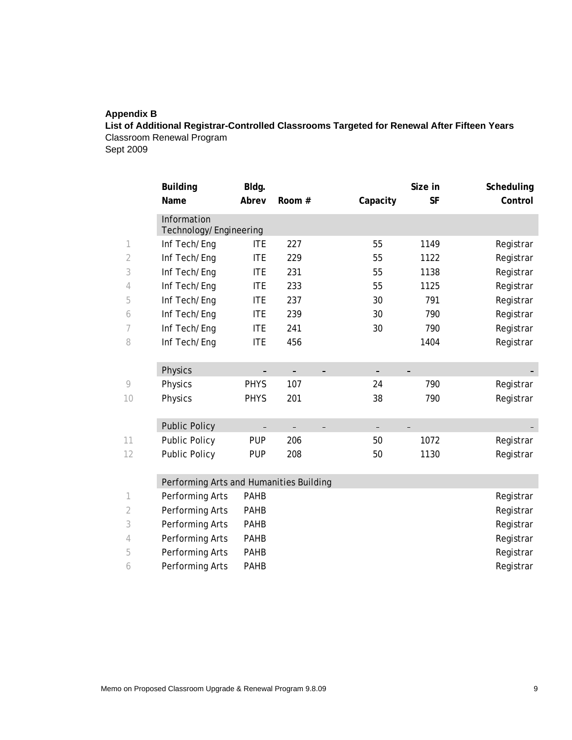## **Appendix B**

**List of Additional Registrar-Controlled Classrooms Targeted for Renewal After Fifteen Years**  Classroom Renewal Program

Sept 2009

|    | <b>Building</b>                         | Bldg.       |        |          | Size in   | Scheduling |
|----|-----------------------------------------|-------------|--------|----------|-----------|------------|
|    | Name                                    | Abrev       | Room # | Capacity | <b>SF</b> | Control    |
|    | Information<br>Technology/Engineering   |             |        |          |           |            |
| 1  | Inf Tech/Eng                            | <b>ITE</b>  | 227    | 55       | 1149      | Registrar  |
| 2  | Inf Tech/Eng                            | <b>ITE</b>  | 229    | 55       | 1122      | Registrar  |
| 3  | Inf Tech/Eng                            | <b>ITE</b>  | 231    | 55       | 1138      | Registrar  |
| 4  | Inf Tech/Eng                            | <b>ITE</b>  | 233    | 55       | 1125      | Registrar  |
| 5  | Inf Tech/Eng                            | <b>ITE</b>  | 237    | 30       | 791       | Registrar  |
| 6  | Inf Tech/Eng                            | <b>ITE</b>  | 239    | 30       | 790       | Registrar  |
| 7  | Inf Tech/Eng                            | <b>ITE</b>  | 241    | 30       | 790       | Registrar  |
| 8  | Inf Tech/Eng                            | <b>ITE</b>  | 456    |          | 1404      | Registrar  |
|    | Physics                                 |             |        |          |           |            |
| 9  | Physics                                 | <b>PHYS</b> | 107    | 24       | 790       | Registrar  |
| 10 | Physics                                 | <b>PHYS</b> | 201    | 38       | 790       | Registrar  |
|    | <b>Public Policy</b>                    |             |        |          |           |            |
| 11 | Public Policy                           | <b>PUP</b>  | 206    | 50       | 1072      | Registrar  |
| 12 | Public Policy                           | <b>PUP</b>  | 208    | 50       | 1130      | Registrar  |
|    | Performing Arts and Humanities Building |             |        |          |           |            |

|   | Performing Arts | <b>PAHB</b> | Registrar |
|---|-----------------|-------------|-----------|
|   | Performing Arts | <b>PAHB</b> | Registrar |
|   | Performing Arts | <b>PAHB</b> | Registrar |
| 4 | Performing Arts | <b>PAHB</b> | Registrar |
| 5 | Performing Arts | <b>PAHB</b> | Registrar |
| 6 | Performing Arts | <b>PAHB</b> | Registrar |
|   |                 |             |           |